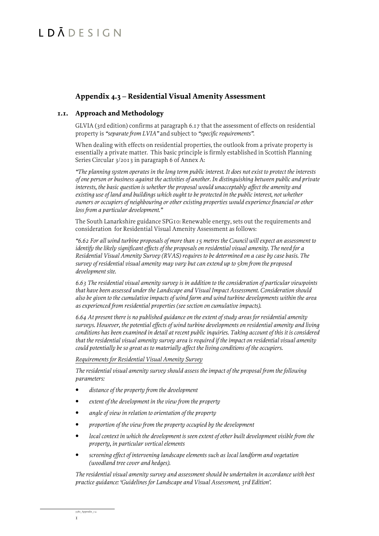# LDĀDESIGN

### **Appendix 4.3 – Residential Visual Amenity Assessment**

#### **1.1. Approach and Methodology**

GLVIA (3rd edition) confirms at paragraph 6.17 that the assessment of effects on residential property is *"separate from LVIA"* and subject to *"specific requirements"*.

When dealing with effects on residential properties, the outlook from a private property is essentially a private matter. This basic principle is firmly established in Scottish Planning Series Circular 3/2013 in paragraph 6 of Annex A:

*"The planning system operates in the long term public interest. It does not exist to protect the interests of one person or business against the activities of another. In distinguishing between public and private interests, the basic question is whether the proposal would unacceptably affect the amenity and existing use of land and buildings which ought to be protected in the public interest, not whether owners or occupiers of neighbouring or other existing properties would experience financial or other loss from a particular development."*

The South Lanarkshire guidance SPG10: Renewable energy, sets out the requirements and consideration for Residential Visual Amenity Assessment as follows:

*"6.62 For all wind turbine proposals of more than 15 metres the Council will expect an assessment to identify the likely significant effects of the proposals on residential visual amenity. The need for a Residential Visual Amenity Survey (RVAS) requires to be determined on a case by case basis. The survey of residential visual amenity may vary but can extend up to 5km from the proposed development site.*

*6.63 The residential visual amenity survey is in addition to the consideration of particular viewpoints that have been assessed under the Landscape and Visual Impact Assessment. Consideration should also be given to the cumulative impacts of wind farm and wind turbine developments within the area as experienced from residential properties (see section on cumulative impacts).*

*6.64 At present there is no published guidance on the extent of study areas for residential amenity surveys. However, the potential effects of wind turbine developments on residential amenity and living conditions has been examined in detail at recent public inquiries. Taking account of this it is considered that the residential visual amenity survey area is required if the impact on residential visual amenity could potentially be so great as to materially affect the living conditions of the occupiers.*

*Requirements for Residential Visual Amenity Survey*

*The residential visual amenity survey should assess the impact of the proposal from the following parameters:*

- *distance of the property from the development*
- *extent of the development in the view from the property*
- *angle of view in relation to orientation of the property*
- *proportion of the view from the property occupied by the development*
- *local context in which the development is seen extent of other built development visible from the property, in particular vertical elements*
- *screening effect of intervening landscape elements such as local landform and vegetation (woodland tree cover and hedges).*

*The residential visual amenity survey and assessment should be undertaken in accordance with best practice guidance: 'Guidelines for Landscape and Visual Assessment, 3rd Edition'.*

1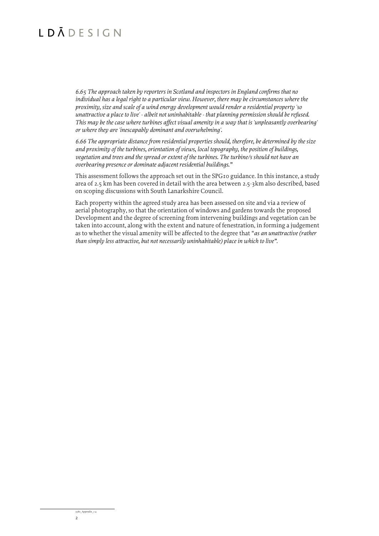# $IDĀDEFSIGN$

*6.65 The approach taken by reporters in Scotland and inspectors in England confirms that no individual has a legal right to a particular view. However, there may be circumstances where the proximity, size and scale of a wind energy development would render a residential property 'so unattractive a place to live' - albeit not uninhabitable - that planning permission should be refused. This may be the case where turbines affect visual amenity in a way that is 'unpleasantly overbearing' or where they are 'inescapably dominant and overwhelming'.*

*6.66 The appropriate distance from residential properties should, therefore, be determined by the size and proximity of the turbines, orientation of views, local topography, the position of buildings, vegetation and trees and the spread or extent of the turbines. The turbine/s should not have an overbearing presence or dominate adjacent residential buildings."*

This assessment follows the approach set out in the SPG10 guidance. In this instance, a study area of 2.5 km has been covered in detail with the area between 2.5-3km also described, based on scoping discussions with South Lanarkshire Council.

Each property within the agreed study area has been assessed on site and via a review of aerial photography, so that the orientation of windows and gardens towards the proposed Development and the degree of screening from intervening buildings and vegetation can be taken into account, along with the extent and nature of fenestration, in forming a judgement as to whether the visual amenity will be affected to the degree that "*as an unattractive (rather than simply less attractive, but not necessarily uninhabitable) place in which to live"*.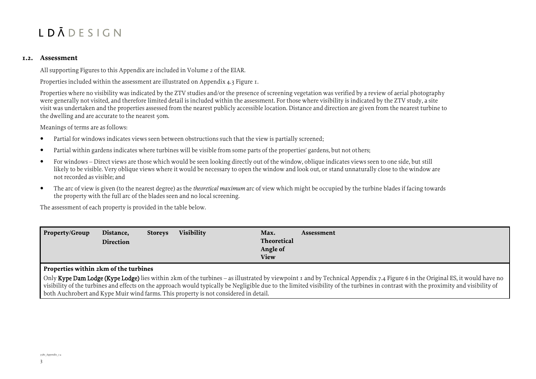#### **1.2. Assessment**

All supporting Figures to this Appendix are included in Volume 2 of the EIAR.

Properties included within the assessment are illustrated on Appendix 4.3 Figure 1.

Properties where no visibility was indicated by the ZTV studies and/or the presence of screening vegetation was verified by a review of aerial photography were generally not visited, and therefore limited detail is included within the assessment. For those where visibility is indicated by the ZTV study, a site visit was undertaken and the properties assessed from the nearest publicly accessible location. Distance and direction are given from the nearest turbine to the dwelling and are accurate to the nearest 50m.

Meanings of terms are as follows:

- Partial for windows indicates views seen between obstructions such that the view is partially screened;
- Partial within gardens indicates where turbines will be visible from some parts of the properties' gardens, but not others;
- For windows Direct views are those which would be seen looking directly out of the window, oblique indicates views seen to one side, but still likely to be visible. Very oblique views where it would be necessary to open the window and look out, or stand unnaturally close to the window are not recorded as visible; and
- The arc of view is given (to the nearest degree) as the *theoretical maximum* arc of view which might be occupied by the turbine blades if facing towards the property with the full arc of the blades seen and no local screening.

The assessment of each property is provided in the table below.

| <b>Visibility</b> | Max.        |
|-------------------|-------------|
| Property/Group    | Assessment  |
| Distance,         | Theoretical |
| <b>Storeys</b>    | Angle of    |
| Direction         | <b>View</b> |

#### **Properties within 2km of the turbines**

Only Kype Dam Lodge (Kype Lodge) lies within 2km of the turbines – as illustrated by viewpoint 1 and by Technical Appendix 7.4 Figure 6 in the Original ES, it would have no visibility of the turbines and effects on the approach would typically be Negligible due to the limited visibility of the turbines in contrast with the proximity and visibility of both Auchrobert and Kype Muir wind farms. This property is not considered in detail.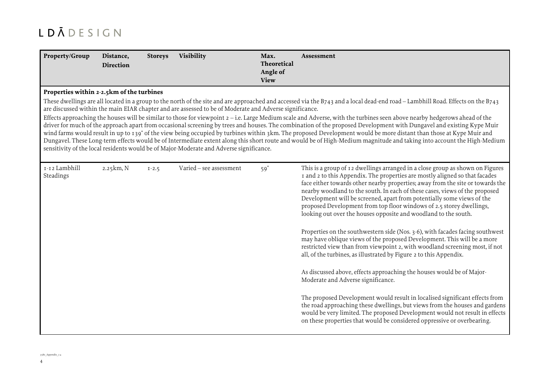| Property/Group                            | Distance,<br><b>Direction</b> | <b>Storeys</b> | Visibility                                                                                                                                                                                         | Max.<br>Theoretical<br>Angle of<br><b>View</b> | Assessment                                                                                                                                                                                                                                                                                                                                                                                                                                                                                                                                                                                                                                                                                                                                                                                                                                                                               |
|-------------------------------------------|-------------------------------|----------------|----------------------------------------------------------------------------------------------------------------------------------------------------------------------------------------------------|------------------------------------------------|------------------------------------------------------------------------------------------------------------------------------------------------------------------------------------------------------------------------------------------------------------------------------------------------------------------------------------------------------------------------------------------------------------------------------------------------------------------------------------------------------------------------------------------------------------------------------------------------------------------------------------------------------------------------------------------------------------------------------------------------------------------------------------------------------------------------------------------------------------------------------------------|
| Properties within 2-2.5km of the turbines |                               |                |                                                                                                                                                                                                    |                                                |                                                                                                                                                                                                                                                                                                                                                                                                                                                                                                                                                                                                                                                                                                                                                                                                                                                                                          |
|                                           |                               |                | are discussed within the main EIAR chapter and are assessed to be of Moderate and Adverse significance.<br>sensitivity of the local residents would be of Major-Moderate and Adverse significance. |                                                | These dwellings are all located in a group to the north of the site and are approached and accessed via the B743 and a local dead-end road – Lambhill Road. Effects on the B743<br>Effects approaching the houses will be similar to those for viewpoint $2 - i.e.$ Large Medium scale and Adverse, with the turbines seen above nearby hedgerows ahead of the<br>driver for much of the approach apart from occasional screening by trees and houses. The combination of the proposed Development with Dungavel and existing Kype Muir<br>wind farms would result in up to 139° of the view being occupied by turbines within 3km. The proposed Development would be more distant than those at Kype Muir and<br>Dungavel. These Long-term effects would be of Intermediate extent along this short route and would be of High-Medium magnitude and taking into account the High-Medium |
| I-12 Lambhill<br>Steadings                | 2.25km, N                     | $I - 2.5$      | Varied - see assessment                                                                                                                                                                            | $59^\circ$                                     | This is a group of 12 dwellings arranged in a close group as shown on Figures<br>I and 2 to this Appendix. The properties are mostly aligned so that facades<br>face either towards other nearby properties; away from the site or towards the<br>nearby woodland to the south. In each of these cases, views of the proposed<br>Development will be screened, apart from potentially some views of the<br>proposed Development from top floor windows of 2.5 storey dwellings,<br>looking out over the houses opposite and woodland to the south.                                                                                                                                                                                                                                                                                                                                       |
|                                           |                               |                |                                                                                                                                                                                                    |                                                | Properties on the southwestern side (Nos. 3-6), with facades facing southwest<br>may have oblique views of the proposed Development. This will be a more<br>restricted view than from viewpoint 2, with woodland screening most, if not<br>all, of the turbines, as illustrated by Figure 2 to this Appendix.                                                                                                                                                                                                                                                                                                                                                                                                                                                                                                                                                                            |
|                                           |                               |                |                                                                                                                                                                                                    |                                                | As discussed above, effects approaching the houses would be of Major-<br>Moderate and Adverse significance.                                                                                                                                                                                                                                                                                                                                                                                                                                                                                                                                                                                                                                                                                                                                                                              |
|                                           |                               |                |                                                                                                                                                                                                    |                                                | The proposed Development would result in localised significant effects from<br>the road approaching these dwellings, but views from the houses and gardens<br>would be very limited. The proposed Development would not result in effects<br>on these properties that would be considered oppressive or overbearing.                                                                                                                                                                                                                                                                                                                                                                                                                                                                                                                                                                     |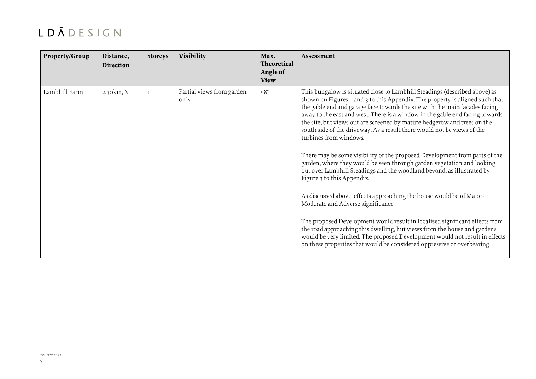| Property/Group | Distance,<br>Direction | <b>Storeys</b> | Visibility                        | Max.<br><b>Theoretical</b><br>Angle of<br><b>View</b> | Assessment                                                                                                                                                                                                                                                                                                                                                                                                                                                                                                                                                                               |
|----------------|------------------------|----------------|-----------------------------------|-------------------------------------------------------|------------------------------------------------------------------------------------------------------------------------------------------------------------------------------------------------------------------------------------------------------------------------------------------------------------------------------------------------------------------------------------------------------------------------------------------------------------------------------------------------------------------------------------------------------------------------------------------|
| Lambhill Farm  | 2.30km, N              | $\mathbf{T}$   | Partial views from garden<br>only | $58^\circ$                                            | This bungalow is situated close to Lambhill Steadings (described above) as<br>shown on Figures 1 and 3 to this Appendix. The property is aligned such that<br>the gable end and garage face towards the site with the main facades facing<br>away to the east and west. There is a window in the gable end facing towards<br>the site, but views out are screened by mature hedgerow and trees on the<br>south side of the driveway. As a result there would not be views of the<br>turbines from windows.<br>There may be some visibility of the proposed Development from parts of the |
|                |                        |                |                                   |                                                       | garden, where they would be seen through garden vegetation and looking<br>out over Lambhill Steadings and the woodland beyond, as illustrated by<br>Figure 3 to this Appendix.                                                                                                                                                                                                                                                                                                                                                                                                           |
|                |                        |                |                                   |                                                       | As discussed above, effects approaching the house would be of Major-<br>Moderate and Adverse significance.                                                                                                                                                                                                                                                                                                                                                                                                                                                                               |
|                |                        |                |                                   |                                                       | The proposed Development would result in localised significant effects from<br>the road approaching this dwelling, but views from the house and gardens<br>would be very limited. The proposed Development would not result in effects<br>on these properties that would be considered oppressive or overbearing.                                                                                                                                                                                                                                                                        |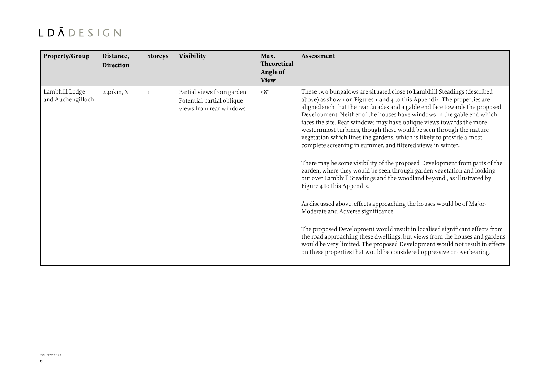| Property/Group                      | Distance,<br>Direction | <b>Storeys</b> | Visibility                                                                        | Max.<br>Theoretical<br>Angle of<br><b>View</b> | Assessment                                                                                                                                                                                                                                                                                                                                                                                                                                                                                                                                                                                                                                                                        |
|-------------------------------------|------------------------|----------------|-----------------------------------------------------------------------------------|------------------------------------------------|-----------------------------------------------------------------------------------------------------------------------------------------------------------------------------------------------------------------------------------------------------------------------------------------------------------------------------------------------------------------------------------------------------------------------------------------------------------------------------------------------------------------------------------------------------------------------------------------------------------------------------------------------------------------------------------|
| Lambhill Lodge<br>and Auchengilloch | 2.40km, N              | $\mathbf{T}$   | Partial views from garden<br>Potential partial oblique<br>views from rear windows | $58^\circ$                                     | These two bungalows are situated close to Lambhill Steadings (described<br>above) as shown on Figures 1 and 4 to this Appendix. The properties are<br>aligned such that the rear facades and a gable end face towards the proposed<br>Development. Neither of the houses have windows in the gable end which<br>faces the site. Rear windows may have oblique views towards the more<br>westernmost turbines, though these would be seen through the mature<br>vegetation which lines the gardens, which is likely to provide almost<br>complete screening in summer, and filtered views in winter.<br>There may be some visibility of the proposed Development from parts of the |
|                                     |                        |                |                                                                                   |                                                | garden, where they would be seen through garden vegetation and looking<br>out over Lambhill Steadings and the woodland beyond., as illustrated by<br>Figure 4 to this Appendix.                                                                                                                                                                                                                                                                                                                                                                                                                                                                                                   |
|                                     |                        |                |                                                                                   |                                                | As discussed above, effects approaching the houses would be of Major-<br>Moderate and Adverse significance.                                                                                                                                                                                                                                                                                                                                                                                                                                                                                                                                                                       |
|                                     |                        |                |                                                                                   |                                                | The proposed Development would result in localised significant effects from<br>the road approaching these dwellings, but views from the houses and gardens<br>would be very limited. The proposed Development would not result in effects<br>on these properties that would be considered oppressive or overbearing.                                                                                                                                                                                                                                                                                                                                                              |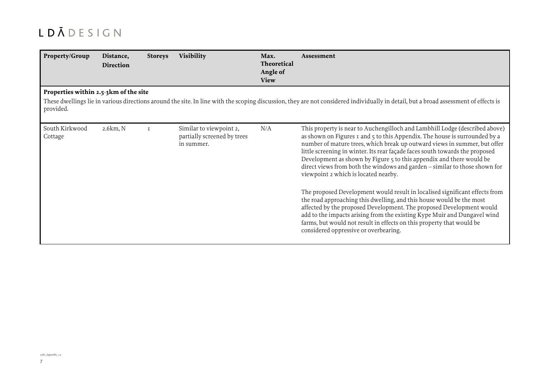| Property/Group                        | Distance,<br><b>Direction</b> | <b>Storeys</b> | <b>Visibility</b>                                                    | Max.<br>Theoretical<br>Angle of<br><b>View</b> | Assessment                                                                                                                                                                                                                                                                                                                                                                                                                                                                                                                                                                                                                                                                                                                                                                                                                                                                                                                                        |
|---------------------------------------|-------------------------------|----------------|----------------------------------------------------------------------|------------------------------------------------|---------------------------------------------------------------------------------------------------------------------------------------------------------------------------------------------------------------------------------------------------------------------------------------------------------------------------------------------------------------------------------------------------------------------------------------------------------------------------------------------------------------------------------------------------------------------------------------------------------------------------------------------------------------------------------------------------------------------------------------------------------------------------------------------------------------------------------------------------------------------------------------------------------------------------------------------------|
| Properties within 2.5-3km of the site |                               |                |                                                                      |                                                |                                                                                                                                                                                                                                                                                                                                                                                                                                                                                                                                                                                                                                                                                                                                                                                                                                                                                                                                                   |
| provided.                             |                               |                |                                                                      |                                                | These dwellings lie in various directions around the site. In line with the scoping discussion, they are not considered individually in detail, but a broad assessment of effects is                                                                                                                                                                                                                                                                                                                                                                                                                                                                                                                                                                                                                                                                                                                                                              |
| South Kirkwood<br>Cottage             | 2.6km, N                      | $\mathsf{T}$   | Similar to viewpoint 2,<br>partially screened by trees<br>in summer. | N/A                                            | This property is near to Auchengilloch and Lambhill Lodge (described above)<br>as shown on Figures 1 and 5 to this Appendix. The house is surrounded by a<br>number of mature trees, which break up outward views in summer, but offer<br>little screening in winter. Its rear façade faces south towards the proposed<br>Development as shown by Figure 5 to this appendix and there would be<br>direct views from both the windows and garden - similar to those shown for<br>viewpoint 2 which is located nearby.<br>The proposed Development would result in localised significant effects from<br>the road approaching this dwelling, and this house would be the most<br>affected by the proposed Development. The proposed Development would<br>add to the impacts arising from the existing Kype Muir and Dungavel wind<br>farms, but would not result in effects on this property that would be<br>considered oppressive or overbearing. |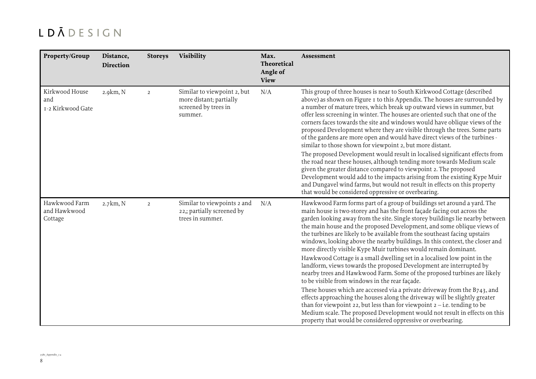| Property/Group                             | Distance,<br><b>Direction</b> | <b>Storeys</b> | Visibility                                                                                | Max.<br><b>Theoretical</b><br>Angle of<br><b>View</b> | Assessment                                                                                                                                                                                                                                                                                                                                                                                                                                                                                                                                                                                                                                                                                                                                                                                                                                                                                                                                                                                                                                                                                                                                                                                                              |
|--------------------------------------------|-------------------------------|----------------|-------------------------------------------------------------------------------------------|-------------------------------------------------------|-------------------------------------------------------------------------------------------------------------------------------------------------------------------------------------------------------------------------------------------------------------------------------------------------------------------------------------------------------------------------------------------------------------------------------------------------------------------------------------------------------------------------------------------------------------------------------------------------------------------------------------------------------------------------------------------------------------------------------------------------------------------------------------------------------------------------------------------------------------------------------------------------------------------------------------------------------------------------------------------------------------------------------------------------------------------------------------------------------------------------------------------------------------------------------------------------------------------------|
| Kirkwood House<br>and<br>1-2 Kirkwood Gate | 2.9km, N                      | $\overline{2}$ | Similar to viewpoint 2, but<br>more distant; partially<br>screened by trees in<br>summer. | N/A                                                   | This group of three houses is near to South Kirkwood Cottage (described<br>above) as shown on Figure I to this Appendix. The houses are surrounded by<br>a number of mature trees, which break up outward views in summer, but<br>offer less screening in winter. The houses are oriented such that one of the<br>corners faces towards the site and windows would have oblique views of the<br>proposed Development where they are visible through the trees. Some parts<br>of the gardens are more open and would have direct views of the turbines -<br>similar to those shown for viewpoint 2, but more distant.<br>The proposed Development would result in localised significant effects from<br>the road near these houses, although tending more towards Medium scale<br>given the greater distance compared to viewpoint 2. The proposed<br>Development would add to the impacts arising from the existing Kype Muir<br>and Dungavel wind farms, but would not result in effects on this property<br>that would be considered oppressive or overbearing.                                                                                                                                                       |
| Hawkwood Farm<br>and Hawkwood<br>Cottage   | 2.7km, N                      | $\overline{2}$ | Similar to viewpoints 2 and<br>22,; partially screened by<br>trees in summer.             | N/A                                                   | Hawkwood Farm forms part of a group of buildings set around a yard. The<br>main house is two-storey and has the front façade facing out across the<br>garden looking away from the site. Single storey buildings lie nearby between<br>the main house and the proposed Development, and some oblique views of<br>the turbines are likely to be available from the southeast facing upstairs<br>windows, looking above the nearby buildings. In this context, the closer and<br>more directly visible Kype Muir turbines would remain dominant.<br>Hawkwood Cottage is a small dwelling set in a localised low point in the<br>landform, views towards the proposed Development are interrupted by<br>nearby trees and Hawkwood Farm. Some of the proposed turbines are likely<br>to be visible from windows in the rear façade.<br>These houses which are accessed via a private driveway from the B743, and<br>effects approaching the houses along the driveway will be slightly greater<br>than for viewpoint 22, but less than for viewpoint $2 - i.e.$ tending to be<br>Medium scale. The proposed Development would not result in effects on this<br>property that would be considered oppressive or overbearing. |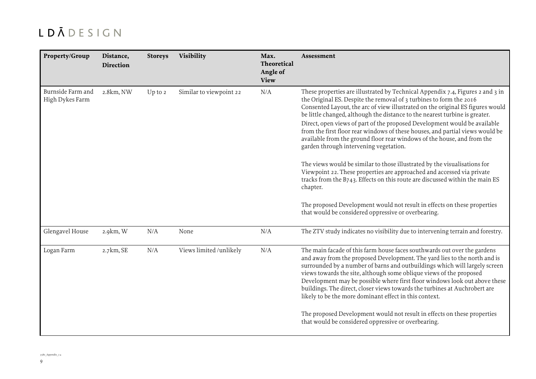| Property/Group                       | Distance,<br><b>Direction</b> | <b>Storeys</b> | <b>Visibility</b>       | Max.<br>Theoretical<br>Angle of<br><b>View</b> | Assessment                                                                                                                                                                                                                                                                                                                                                                                                                                                                                                                                                                                                                                                                                                                                                                                                                                                                                                                                                                                      |
|--------------------------------------|-------------------------------|----------------|-------------------------|------------------------------------------------|-------------------------------------------------------------------------------------------------------------------------------------------------------------------------------------------------------------------------------------------------------------------------------------------------------------------------------------------------------------------------------------------------------------------------------------------------------------------------------------------------------------------------------------------------------------------------------------------------------------------------------------------------------------------------------------------------------------------------------------------------------------------------------------------------------------------------------------------------------------------------------------------------------------------------------------------------------------------------------------------------|
| Burnside Farm and<br>High Dykes Farm | 2.8km, NW                     | $Up$ to $2$    | Similar to viewpoint 22 | N/A                                            | These properties are illustrated by Technical Appendix 7.4, Figures 2 and 3 in<br>the Original ES. Despite the removal of 3 turbines to form the 2016<br>Consented Layout, the arc of view illustrated on the original ES figures would<br>be little changed, although the distance to the nearest turbine is greater.<br>Direct, open views of part of the proposed Development would be available<br>from the first floor rear windows of these houses, and partial views would be<br>available from the ground floor rear windows of the house, and from the<br>garden through intervening vegetation.<br>The views would be similar to those illustrated by the visualisations for<br>Viewpoint 22. These properties are approached and accessed via private<br>tracks from the B743. Effects on this route are discussed within the main ES<br>chapter.<br>The proposed Development would not result in effects on these properties<br>that would be considered oppressive or overbearing. |
| Glengavel House                      | 2.9km, W                      | N/A            | None                    | N/A                                            | The ZTV study indicates no visibility due to intervening terrain and forestry.                                                                                                                                                                                                                                                                                                                                                                                                                                                                                                                                                                                                                                                                                                                                                                                                                                                                                                                  |
| Logan Farm                           | 2.7km, SE                     | N/A            | Views limited /unlikely | N/A                                            | The main facade of this farm house faces southwards out over the gardens<br>and away from the proposed Development. The yard lies to the north and is<br>surrounded by a number of barns and outbuildings which will largely screen<br>views towards the site, although some oblique views of the proposed<br>Development may be possible where first floor windows look out above these<br>buildings. The direct, closer views towards the turbines at Auchrobert are<br>likely to be the more dominant effect in this context.<br>The proposed Development would not result in effects on these properties<br>that would be considered oppressive or overbearing.                                                                                                                                                                                                                                                                                                                             |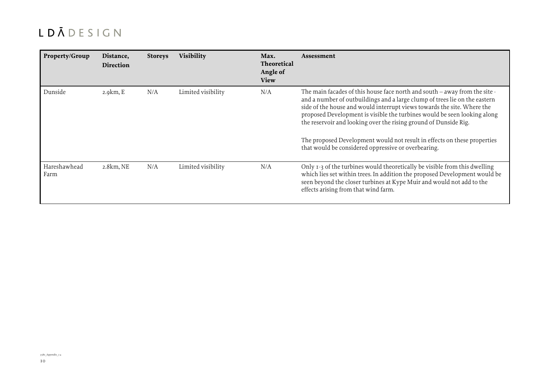| Property/Group       | Distance,<br><b>Direction</b> | <b>Storeys</b> | <b>Visibility</b>  | Max.<br><b>Theoretical</b><br>Angle of<br><b>View</b> | Assessment                                                                                                                                                                                                                                                                                                                                                                                                                                                                                                             |
|----------------------|-------------------------------|----------------|--------------------|-------------------------------------------------------|------------------------------------------------------------------------------------------------------------------------------------------------------------------------------------------------------------------------------------------------------------------------------------------------------------------------------------------------------------------------------------------------------------------------------------------------------------------------------------------------------------------------|
| Dunside              | 2.9 km, E                     | N/A            | Limited visibility | N/A                                                   | The main facades of this house face north and south - away from the site -<br>and a number of outbuildings and a large clump of trees lie on the eastern<br>side of the house and would interrupt views towards the site. Where the<br>proposed Development is visible the turbines would be seen looking along<br>the reservoir and looking over the rising ground of Dunside Rig.<br>The proposed Development would not result in effects on these properties<br>that would be considered oppressive or overbearing. |
| Hareshawhead<br>Farm | 2.8km, NE                     | N/A            | Limited visibility | N/A                                                   | Only 1-3 of the turbines would theoretically be visible from this dwelling<br>which lies set within trees. In addition the proposed Development would be<br>seen beyond the closer turbines at Kype Muir and would not add to the<br>effects arising from that wind farm.                                                                                                                                                                                                                                              |